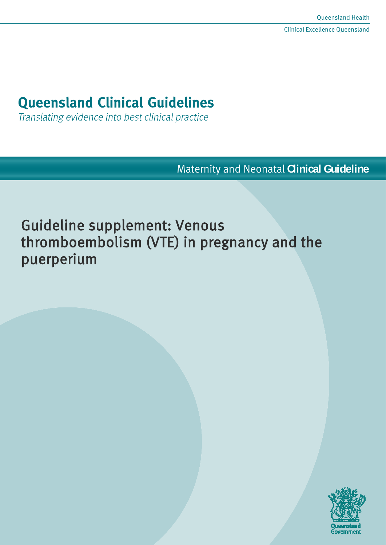# **Queensland Clinical Guidelines**

Translating evidence into best clinical practice

Maternity and Neonatal **Clinical Guideline**

Guideline supplement: Venous thromboembolism (VTE) in pregnancy and the puerperium

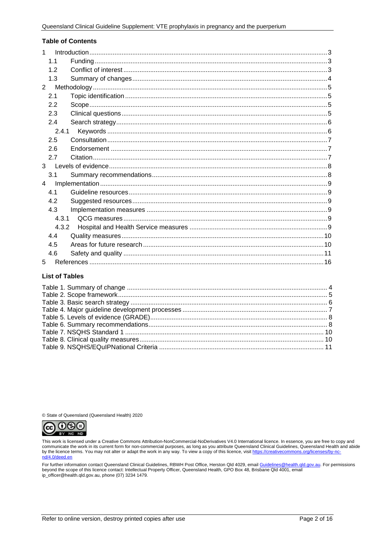#### **Table of Contents**

| 1              |                |  |  |  |
|----------------|----------------|--|--|--|
|                | 1 <sub>1</sub> |  |  |  |
|                | 12             |  |  |  |
|                | 1.3            |  |  |  |
| 2              |                |  |  |  |
|                | 2.1            |  |  |  |
|                | 2.2            |  |  |  |
|                | 2.3            |  |  |  |
|                | 2.4            |  |  |  |
|                | 2.4.1          |  |  |  |
|                | 2.5            |  |  |  |
|                | 2.6            |  |  |  |
|                | 2.7            |  |  |  |
| $\mathbf{3}$   |                |  |  |  |
|                | 3.1            |  |  |  |
| $\overline{4}$ |                |  |  |  |
|                | 4.1            |  |  |  |
|                | 4.2            |  |  |  |
|                | 4.3            |  |  |  |
|                | 4.3.1          |  |  |  |
| 4.3.2          |                |  |  |  |
|                | 4.4            |  |  |  |
|                | 4.5            |  |  |  |
|                | 4.6            |  |  |  |
| 5              |                |  |  |  |

#### **List of Tables**

© State of Queensland (Queensland Health) 2020



This work is licensed under a Creative Commons Attribution-NonCommercial-NoDerivatives V4.0 International licence. In essence, you are free to copy and communicate the work in its current form for non-commercial purposes, as long as you attribute Queensland Clinical Guidelines, Queensland Health and abide by the licence terms. You may not alter or adapt the work in any way. To view a copy of this licence, visit https://creativecommons.org/licenses/by-ncnd/4.0/deed.en

For further information contact Queensland Clinical Guidelines, RBWH Post Office, Herston Qld 4029, email Guidelines@health.qld.gov.au. For permissions beyond the scope of this licence contact: Intellectual Property Officer, Queensland Health, GPO Box 48, Brisbane Qld 4001, email ip\_officer@health.qld.gov.au, phone (07) 3234 1479.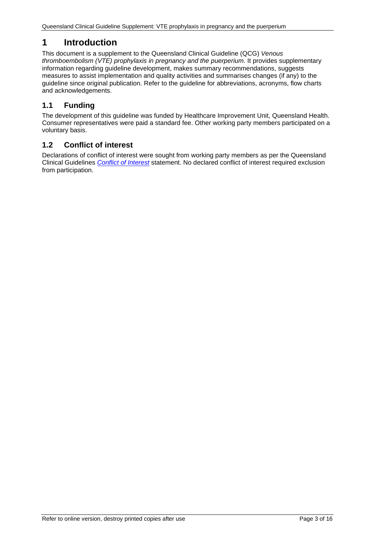# <span id="page-2-0"></span>**1 Introduction**

This document is a supplement to the Queensland Clinical Guideline (QCG) *Venous thromboembolism (VTE) prophylaxis in pregnancy and the puerperium.* It provides supplementary information regarding guideline development, makes summary recommendations, suggests measures to assist implementation and quality activities and summarises changes (if any) to the guideline since original publication. Refer to the guideline for abbreviations, acronyms, flow charts and acknowledgements.

# <span id="page-2-1"></span>**1.1 Funding**

The development of this guideline was funded by Healthcare Improvement Unit, Queensland Health. Consumer representatives were paid a standard fee. Other working party members participated on a voluntary basis.

# <span id="page-2-2"></span>**1.2 Conflict of interest**

Declarations of conflict of interest were sought from working party members as per the Queensland Clinical Guidelines *[Conflict of Interest](http://www.health.qld.gov.au/qcg/development#coi)* statement. No declared conflict of interest required exclusion from participation.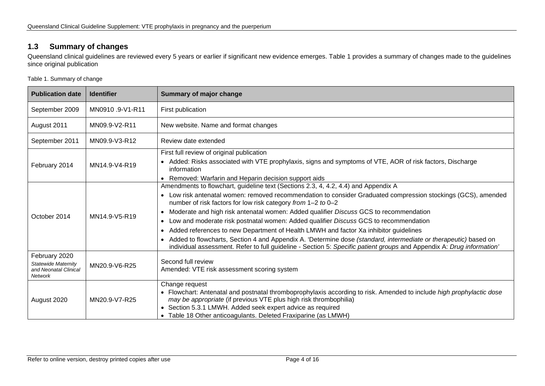# **1.3 Summary of changes**

Queensland clinical guidelines are reviewed every 5 years or earlier if significant new evidence emerges. [Table 1](#page-3-2) provides a summary of changes made to the guidelines since original publication

<span id="page-3-2"></span>Table 1. Summary of change

<span id="page-3-1"></span><span id="page-3-0"></span>

| <b>Publication date</b>                                                                                                                                               | <b>Identifier</b> | <b>Summary of major change</b>                                                                                                                                                                                                                                                                                                                                                                                                                                                                                                                                                                                                                                                                                                                                                                                                             |  |
|-----------------------------------------------------------------------------------------------------------------------------------------------------------------------|-------------------|--------------------------------------------------------------------------------------------------------------------------------------------------------------------------------------------------------------------------------------------------------------------------------------------------------------------------------------------------------------------------------------------------------------------------------------------------------------------------------------------------------------------------------------------------------------------------------------------------------------------------------------------------------------------------------------------------------------------------------------------------------------------------------------------------------------------------------------------|--|
| September 2009                                                                                                                                                        | MN0910.9-V1-R11   | First publication                                                                                                                                                                                                                                                                                                                                                                                                                                                                                                                                                                                                                                                                                                                                                                                                                          |  |
| August 2011                                                                                                                                                           | MN09.9-V2-R11     | New website. Name and format changes                                                                                                                                                                                                                                                                                                                                                                                                                                                                                                                                                                                                                                                                                                                                                                                                       |  |
| September 2011                                                                                                                                                        | MN09.9-V3-R12     | Review date extended                                                                                                                                                                                                                                                                                                                                                                                                                                                                                                                                                                                                                                                                                                                                                                                                                       |  |
| First full review of original publication<br>February 2014<br>MN14.9-V4-R19<br>information                                                                            |                   | • Added: Risks associated with VTE prophylaxis, signs and symptoms of VTE, AOR of risk factors, Discharge<br>Removed: Warfarin and Heparin decision support aids<br>$\bullet$                                                                                                                                                                                                                                                                                                                                                                                                                                                                                                                                                                                                                                                              |  |
| October 2014<br>MN14.9-V5-R19                                                                                                                                         |                   | Amendments to flowchart, guideline text (Sections 2.3, 4, 4.2, 4.4) and Appendix A<br>Low risk antenatal women: removed recommendation to consider Graduated compression stockings (GCS), amended<br>$\bullet$<br>number of risk factors for low risk category from 1-2 to 0-2<br>Moderate and high risk antenatal women: Added qualifier Discuss GCS to recommendation<br>$\bullet$<br>Low and moderate risk postnatal women: Added qualifier Discuss GCS to recommendation<br>$\bullet$<br>Added references to new Department of Health LMWH and factor Xa inhibitor guidelines<br>Added to flowcharts, Section 4 and Appendix A. 'Determine dose (standard, intermediate or therapeutic) based on<br>$\bullet$<br>individual assessment. Refer to full guideline - Section 5: Specific patient groups and Appendix A: Drug information' |  |
| February 2020<br>Second full review<br><b>Statewide Maternity</b><br>MN20.9-V6-R25<br>Amended: VTE risk assessment scoring system<br>and Neonatal Clinical<br>Network |                   |                                                                                                                                                                                                                                                                                                                                                                                                                                                                                                                                                                                                                                                                                                                                                                                                                                            |  |
| August 2020                                                                                                                                                           | MN20.9-V7-R25     | Change request<br>• Flowchart: Antenatal and postnatal thromboprophylaxis according to risk. Amended to include high prophylactic dose<br>may be appropriate (if previous VTE plus high risk thrombophilia)<br>• Section 5.3.1 LMWH. Added seek expert advice as required<br>• Table 18 Other anticoagulants. Deleted Fraxiparine (as LMWH)                                                                                                                                                                                                                                                                                                                                                                                                                                                                                                |  |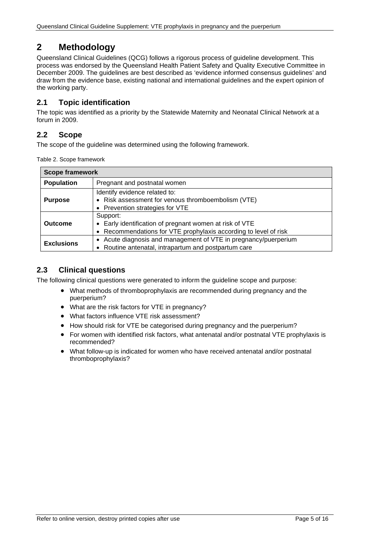# <span id="page-4-0"></span>**2 Methodology**

Queensland Clinical Guidelines (QCG) follows a rigorous process of guideline development. This process was endorsed by the Queensland Health Patient Safety and Quality Executive Committee in December 2009. The guidelines are best described as 'evidence informed consensus guidelines' and draw from the evidence base, existing national and international guidelines and the expert opinion of the working party.

# <span id="page-4-1"></span>**2.1 Topic identification**

The topic was identified as a priority by the Statewide Maternity and Neonatal Clinical Network at a forum in 2009.

# <span id="page-4-2"></span>**2.2 Scope**

<span id="page-4-4"></span>The scope of the guideline was determined using the following framework.

Table 2. Scope framework

| <b>Scope framework</b>                            |                                                                  |  |
|---------------------------------------------------|------------------------------------------------------------------|--|
| <b>Population</b><br>Pregnant and postnatal women |                                                                  |  |
|                                                   | Identify evidence related to:                                    |  |
| <b>Purpose</b>                                    | • Risk assessment for venous thromboembolism (VTE)               |  |
|                                                   | • Prevention strategies for VTE                                  |  |
|                                                   | Support:                                                         |  |
| <b>Outcome</b>                                    | • Early identification of pregnant women at risk of VTE          |  |
|                                                   | • Recommendations for VTE prophylaxis according to level of risk |  |
| <b>Exclusions</b>                                 | • Acute diagnosis and management of VTE in pregnancy/puerperium  |  |
|                                                   | • Routine antenatal, intrapartum and postpartum care             |  |

# <span id="page-4-3"></span>**2.3 Clinical questions**

The following clinical questions were generated to inform the guideline scope and purpose:

- What methods of thromboprophylaxis are recommended during pregnancy and the puerperium?
- What are the risk factors for VTE in pregnancy?
- What factors influence VTE risk assessment?
- How should risk for VTE be categorised during pregnancy and the puerperium?
- For women with identified risk factors, what antenatal and/or postnatal VTE prophylaxis is recommended?
- What follow-up is indicated for women who have received antenatal and/or postnatal thromboprophylaxis?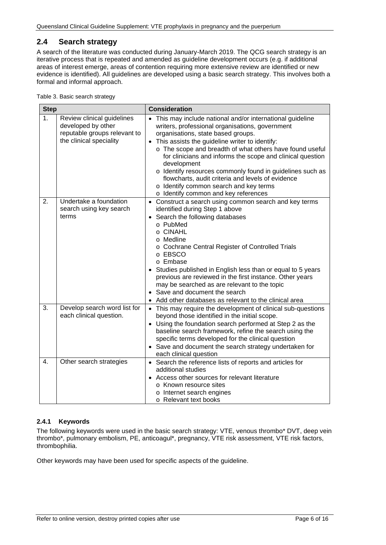# <span id="page-5-0"></span>**2.4 Search strategy**

A search of the literature was conducted during January-March 2019. The QCG search strategy is an iterative process that is repeated and amended as guideline development occurs (e.g. if additional areas of interest emerge, areas of contention requiring more extensive review are identified or new evidence is identified). All guidelines are developed using a basic search strategy. This involves both a formal and informal approach.

<span id="page-5-2"></span>Table 3. Basic search strategy

| <b>Step</b>    |                                                                                                             | <b>Consideration</b>                                                                                                                                                                                                                                                                                                                                                                                                                                                                                                                                 |  |
|----------------|-------------------------------------------------------------------------------------------------------------|------------------------------------------------------------------------------------------------------------------------------------------------------------------------------------------------------------------------------------------------------------------------------------------------------------------------------------------------------------------------------------------------------------------------------------------------------------------------------------------------------------------------------------------------------|--|
| 1 <sub>1</sub> | Review clinical guidelines<br>developed by other<br>reputable groups relevant to<br>the clinical speciality | • This may include national and/or international guideline<br>writers, professional organisations, government<br>organisations, state based groups.<br>• This assists the guideline writer to identify:<br>o The scope and breadth of what others have found useful<br>for clinicians and informs the scope and clinical question<br>development<br>o Identify resources commonly found in guidelines such as<br>flowcharts, audit criteria and levels of evidence<br>o Identify common search and key terms<br>o Identify common and key references |  |
| 2.             | Undertake a foundation<br>search using key search<br>terms                                                  | • Construct a search using common search and key terms<br>identified during Step 1 above<br>• Search the following databases<br>o PubMed<br>o CINAHL<br>o Medline<br>o Cochrane Central Register of Controlled Trials<br>o EBSCO<br>o Embase<br>Studies published in English less than or equal to 5 years<br>previous are reviewed in the first instance. Other years<br>may be searched as are relevant to the topic<br>• Save and document the search<br>• Add other databases as relevant to the clinical area                                   |  |
| 3.             | Develop search word list for<br>each clinical question.                                                     | • This may require the development of clinical sub-questions<br>beyond those identified in the initial scope.<br>• Using the foundation search performed at Step 2 as the<br>baseline search framework, refine the search using the<br>specific terms developed for the clinical question<br>• Save and document the search strategy undertaken for<br>each clinical question                                                                                                                                                                        |  |
| 4.             | Other search strategies                                                                                     | • Search the reference lists of reports and articles for<br>additional studies<br>Access other sources for relevant literature<br>$\bullet$<br>o Known resource sites<br>o Internet search engines<br>o Relevant text books                                                                                                                                                                                                                                                                                                                          |  |

#### <span id="page-5-1"></span>**2.4.1 Keywords**

The following keywords were used in the basic search strategy: VTE, venous thrombo\* DVT, deep vein thrombo\*, pulmonary embolism, PE, anticoagul\*, pregnancy, VTE risk assessment, VTE risk factors, thrombophilia.

Other keywords may have been used for specific aspects of the guideline.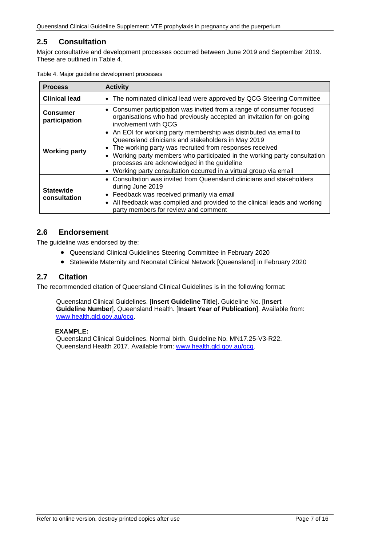# <span id="page-6-0"></span>**2.5 Consultation**

Major consultative and development processes occurred between June 2019 and September 2019. These are outlined in [Table 4.](#page-6-3)

| <b>Process</b>                   | <b>Activity</b>                                                                                                                                                                                                                                                                                                                                                                    |  |  |
|----------------------------------|------------------------------------------------------------------------------------------------------------------------------------------------------------------------------------------------------------------------------------------------------------------------------------------------------------------------------------------------------------------------------------|--|--|
| <b>Clinical lead</b>             | • The nominated clinical lead were approved by QCG Steering Committee                                                                                                                                                                                                                                                                                                              |  |  |
| <b>Consumer</b><br>participation | Consumer participation was invited from a range of consumer focused<br>$\bullet$<br>organisations who had previously accepted an invitation for on-going<br>involvement with QCG                                                                                                                                                                                                   |  |  |
| <b>Working party</b>             | • An EOI for working party membership was distributed via email to<br>Queensland clinicians and stakeholders in May 2019<br>The working party was recruited from responses received<br>Working party members who participated in the working party consultation<br>processes are acknowledged in the guideline<br>Working party consultation occurred in a virtual group via email |  |  |
| <b>Statewide</b><br>consultation | • Consultation was invited from Queensland clinicians and stakeholders<br>during June 2019<br>Feedback was received primarily via email<br>$\bullet$<br>All feedback was compiled and provided to the clinical leads and working<br>party members for review and comment                                                                                                           |  |  |

<span id="page-6-3"></span>Table 4. Major guideline development processes

## <span id="page-6-1"></span>**2.6 Endorsement**

The guideline was endorsed by the:

- Queensland Clinical Guidelines Steering Committee in February 2020
- Statewide Maternity and Neonatal Clinical Network [Queensland] in February 2020

#### <span id="page-6-2"></span>**2.7 Citation**

The recommended citation of Queensland Clinical Guidelines is in the following format:

Queensland Clinical Guidelines. [**Insert Guideline Title**]. Guideline No. [**Insert Guideline Number**]. Queensland Health. [**Insert Year of Publication**]. Available from: [www.health.qld.gov.au/qcg.](http://www.health.qld.gov.au/qcg)

#### **EXAMPLE:**

Queensland Clinical Guidelines. Normal birth. Guideline No. MN17.25-V3-R22. Queensland Health 2017. Available from: [www.health.qld.gov.au/qcg.](http://www.health.qld.gov.au/qcg)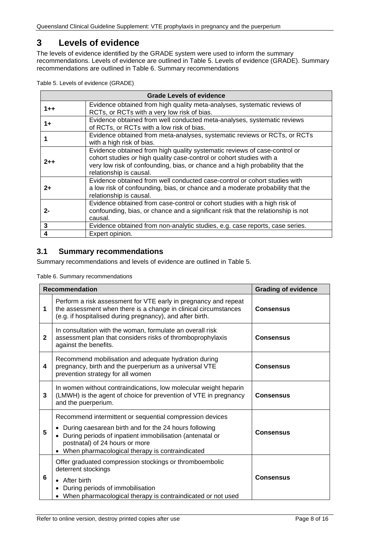# <span id="page-7-0"></span>**3 Levels of evidence**

The levels of evidence identified by the GRADE system were used to inform the summary recommendations. Levels of evidence are outlined in Table 5. [Levels of evidence \(GRADE\).](#page-7-2) Summary recommendations are outlined in [Table 6. Summary recommendations](#page-7-3)

<span id="page-7-2"></span>

|  |  |  | Table 5. Levels of evidence (GRADE) |  |
|--|--|--|-------------------------------------|--|
|--|--|--|-------------------------------------|--|

| <b>Grade Levels of evidence</b> |                                                                                                                                                                                                                                                               |  |
|---------------------------------|---------------------------------------------------------------------------------------------------------------------------------------------------------------------------------------------------------------------------------------------------------------|--|
| $1 + +$                         | Evidence obtained from high quality meta-analyses, systematic reviews of<br>RCTs, or RCTs with a very low risk of bias.                                                                                                                                       |  |
| 1+                              | Evidence obtained from well conducted meta-analyses, systematic reviews<br>of RCTs, or RCTs with a low risk of bias.                                                                                                                                          |  |
|                                 | Evidence obtained from meta-analyses, systematic reviews or RCTs, or RCTs<br>with a high risk of bias.                                                                                                                                                        |  |
| $2 + +$                         | Evidence obtained from high quality systematic reviews of case-control or<br>cohort studies or high quality case-control or cohort studies with a<br>very low risk of confounding, bias, or chance and a high probability that the<br>relationship is causal. |  |
| 2+                              | Evidence obtained from well conducted case-control or cohort studies with<br>a low risk of confounding, bias, or chance and a moderate probability that the<br>relationship is causal.                                                                        |  |
| 2-                              | Evidence obtained from case-control or cohort studies with a high risk of<br>confounding, bias, or chance and a significant risk that the relationship is not<br>causal.                                                                                      |  |
| 3                               | Evidence obtained from non-analytic studies, e.g. case reports, case series.                                                                                                                                                                                  |  |
|                                 | Expert opinion.                                                                                                                                                                                                                                               |  |

# <span id="page-7-1"></span>**3.1 Summary recommendations**

<span id="page-7-3"></span>Summary recommendations and levels of evidence are outlined in Table 5.

Table 6. Summary recommendations

| <b>Recommendation</b> |                                                                                                                                                                                                                                                                      | <b>Grading of evidence</b> |
|-----------------------|----------------------------------------------------------------------------------------------------------------------------------------------------------------------------------------------------------------------------------------------------------------------|----------------------------|
| 1                     | Perform a risk assessment for VTE early in pregnancy and repeat<br>the assessment when there is a change in clinical circumstances<br>(e.g. if hospitalised during pregnancy), and after birth.                                                                      | <b>Consensus</b>           |
| $\mathbf{2}$          | In consultation with the woman, formulate an overall risk<br>assessment plan that considers risks of thromboprophylaxis<br>against the benefits.                                                                                                                     | <b>Consensus</b>           |
| 4                     | Recommend mobilisation and adequate hydration during<br>pregnancy, birth and the puerperium as a universal VTE<br>prevention strategy for all women                                                                                                                  | <b>Consensus</b>           |
| 3                     | In women without contraindications, low molecular weight heparin<br>(LMWH) is the agent of choice for prevention of VTE in pregnancy<br>and the puerperium.                                                                                                          | <b>Consensus</b>           |
| 5                     | Recommend intermittent or sequential compression devices<br>During caesarean birth and for the 24 hours following<br>During periods of inpatient immobilisation (antenatal or<br>postnatal) of 24 hours or more<br>• When pharmacological therapy is contraindicated | <b>Consensus</b>           |
| 6                     | Offer graduated compression stockings or thromboembolic<br>deterrent stockings<br>• After birth<br>During periods of immobilisation<br>When pharmacological therapy is contraindicated or not used                                                                   | <b>Consensus</b>           |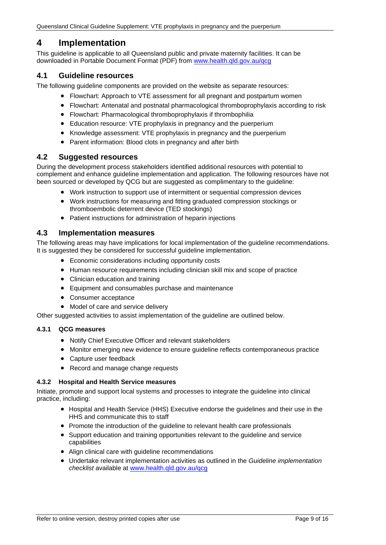# <span id="page-8-0"></span>**4 Implementation**

This guideline is applicable to all Queensland public and private maternity facilities. It can be downloaded in Portable Document Format (PDF) from [www.health.qld.gov.au/qcg](http://www.health.qld.gov.au/qcg)

## <span id="page-8-1"></span>**4.1 Guideline resources**

The following guideline components are provided on the website as separate resources:

- Flowchart: Approach to VTE assessment for all pregnant and postpartum women
- Flowchart: Antenatal and postnatal pharmacological thromboprophylaxis according to risk
- Flowchart: Pharmacological thromboprophylaxis if thrombophilia
- Education resource: VTE prophylaxis in pregnancy and the puerperium
- Knowledge assessment: VTE prophylaxis in pregnancy and the puerperium
- Parent information: Blood clots in pregnancy and after birth

#### <span id="page-8-2"></span>**4.2 Suggested resources**

During the development process stakeholders identified additional resources with potential to complement and enhance guideline implementation and application. The following resources have not been sourced or developed by QCG but are suggested as complimentary to the guideline:

- Work instruction to support use of intermittent or sequential compression devices
- Work instructions for measuring and fitting graduated compression stockings or thromboembolic deterrent device (TED stockings)
- Patient instructions for administration of heparin injections

## <span id="page-8-3"></span>**4.3 Implementation measures**

The following areas may have implications for local implementation of the guideline recommendations. It is suggested they be considered for successful guideline implementation.

- Economic considerations including opportunity costs
- Human resource requirements including clinician skill mix and scope of practice
- Clinician education and training
- Equipment and consumables purchase and maintenance
- Consumer acceptance
- Model of care and service delivery

Other suggested activities to assist implementation of the guideline are outlined below.

#### <span id="page-8-4"></span>**4.3.1 QCG measures**

- Notify Chief Executive Officer and relevant stakeholders
- Monitor emerging new evidence to ensure guideline reflects contemporaneous practice
- Capture user feedback
- Record and manage change requests

#### <span id="page-8-5"></span>**4.3.2 Hospital and Health Service measures**

Initiate, promote and support local systems and processes to integrate the guideline into clinical practice, including:

- Hospital and Health Service (HHS) Executive endorse the guidelines and their use in the HHS and communicate this to staff
- Promote the introduction of the guideline to relevant health care professionals
- Support education and training opportunities relevant to the guideline and service capabilities
- Align clinical care with guideline recommendations
- Undertake relevant implementation activities as outlined in the *Guideline implementation checklist* available at [www.health.qld.gov.au/qcg](http://www.health.qld.gov.au/qcg)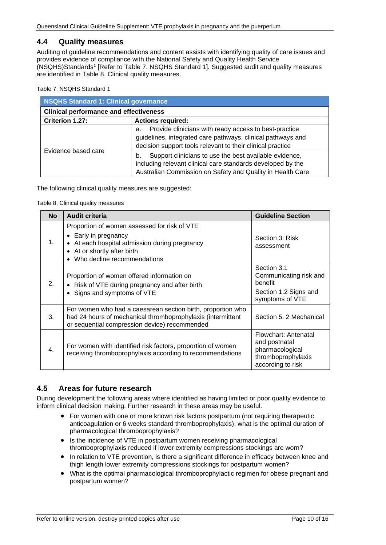### <span id="page-9-0"></span>**4.4 Quality measures**

Auditing of guideline recommendations and content assists with identifying quality of care issues and provides evidence of compliance with the National Safety and Quality Health Service (NSQHS)Standards1 [Refer to Table 7. [NSQHS Standard 1\]](#page-9-2). Suggested audit and quality measures are identified in [Table 8. Clinical quality measures.](#page-9-3)

<span id="page-9-2"></span>Table 7. NSQHS Standard 1

| <b>NSQHS Standard 1: Clinical governance</b>  |                                                                                                                                                                                           |  |  |
|-----------------------------------------------|-------------------------------------------------------------------------------------------------------------------------------------------------------------------------------------------|--|--|
| <b>Clinical performance and effectiveness</b> |                                                                                                                                                                                           |  |  |
| Criterion 1.27:                               | <b>Actions required:</b>                                                                                                                                                                  |  |  |
|                                               | Provide clinicians with ready access to best-practice<br>a.<br>guidelines, integrated care pathways, clinical pathways and<br>decision support tools relevant to their clinical practice  |  |  |
| Evidence based care                           | Support clinicians to use the best available evidence,<br>b.<br>including relevant clinical care standards developed by the<br>Australian Commission on Safety and Quality in Health Care |  |  |

<span id="page-9-3"></span>The following clinical quality measures are suggested:

Table 8. Clinical quality measures

| <b>No</b>        | <b>Audit criteria</b>                                                                                                                                                                        | <b>Guideline Section</b>                                                                            |
|------------------|----------------------------------------------------------------------------------------------------------------------------------------------------------------------------------------------|-----------------------------------------------------------------------------------------------------|
| $\mathbf{1}$ .   | Proportion of women assessed for risk of VTE<br>• Early in pregnancy<br>At each hospital admission during pregnancy<br>At or shortly after birth<br>$\bullet$<br>Who decline recommendations | Section 3: Risk<br>assessment                                                                       |
| 2.               | Proportion of women offered information on<br>• Risk of VTE during pregnancy and after birth<br>• Signs and symptoms of VTE                                                                  | Section 3.1<br>Communicating risk and<br>benefit<br>Section 1.2 Signs and<br>symptoms of VTE        |
| 3.               | For women who had a caesarean section birth, proportion who<br>had 24 hours of mechanical thromboprophylaxis (intermittent<br>or sequential compression device) recommended                  | Section 5, 2 Mechanical                                                                             |
| $\overline{4}$ . | For women with identified risk factors, proportion of women<br>receiving thromboprophylaxis according to recommendations                                                                     | Flowchart: Antenatal<br>and postnatal<br>pharmacological<br>thromboprophylaxis<br>according to risk |

#### <span id="page-9-1"></span>**4.5 Areas for future research**

During development the following areas where identified as having limited or poor quality evidence to inform clinical decision making. Further research in these areas may be useful.

- For women with one or more known risk factors postpartum (not requiring therapeutic anticoagulation or 6 weeks standard thromboprophylaxis), what is the optimal duration of pharmacological thromboprophylaxis?
- Is the incidence of VTE in postpartum women receiving pharmacological thromboprophylaxis reduced if lower extremity compressions stockings are worn?
- In relation to VTE prevention, is there a significant difference in efficacy between knee and thigh length lower extremity compressions stockings for postpartum women?
- What is the optimal pharmacological thromboprophylactic regimen for obese pregnant and postpartum women?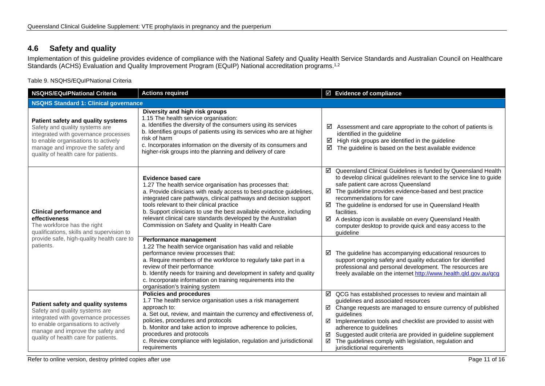# **4.6 Safety and quality**

Implementation of this guideline provides evidence of compliance with the National Safety and Quality Health Service Standards and Australian Council on Healthcare Standards (ACHS) Evaluation and Quality Improvement Program (EQuIP) National accreditation programs.<sup>1,2</sup>

Table 9. NSQHS/EQuIPNational Criteria

<span id="page-10-1"></span><span id="page-10-0"></span>

| <b>Actions required</b><br><b>NSQHS/EQuIPNational Criteria</b>                                                                                                                                                                   |                                                                                                                                                                                                                                                                                                                                                                                                                                                                    | $\boxtimes$ Evidence of compliance                                                                                                                                                                                                                                                                                                                                                                                                                                                       |  |  |
|----------------------------------------------------------------------------------------------------------------------------------------------------------------------------------------------------------------------------------|--------------------------------------------------------------------------------------------------------------------------------------------------------------------------------------------------------------------------------------------------------------------------------------------------------------------------------------------------------------------------------------------------------------------------------------------------------------------|------------------------------------------------------------------------------------------------------------------------------------------------------------------------------------------------------------------------------------------------------------------------------------------------------------------------------------------------------------------------------------------------------------------------------------------------------------------------------------------|--|--|
| <b>NSQHS Standard 1: Clinical governance</b>                                                                                                                                                                                     |                                                                                                                                                                                                                                                                                                                                                                                                                                                                    |                                                                                                                                                                                                                                                                                                                                                                                                                                                                                          |  |  |
| Patient safety and quality systems<br>Safety and quality systems are<br>integrated with governance processes<br>to enable organisations to actively<br>manage and improve the safety and<br>quality of health care for patients. | Diversity and high risk groups<br>1.15 The health service organisation:<br>a. Identifies the diversity of the consumers using its services<br>b. Identifies groups of patients using its services who are at higher<br>risk of harm<br>c. Incorporates information on the diversity of its consumers and<br>higher-risk groups into the planning and delivery of care                                                                                              | Assessment and care appropriate to the cohort of patients is<br>☑<br>identified in the guideline<br>High risk groups are identified in the guideline<br>☑<br>☑<br>The guideline is based on the best available evidence                                                                                                                                                                                                                                                                  |  |  |
| <b>Clinical performance and</b><br>effectiveness<br>The workforce has the right<br>qualifications, skills and supervision to                                                                                                     | Evidence based care<br>1.27 The health service organisation has processes that:<br>a. Provide clinicians with ready access to best-practice guidelines,<br>integrated care pathways, clinical pathways and decision support<br>tools relevant to their clinical practice<br>b. Support clinicians to use the best available evidence, including<br>relevant clinical care standards developed by the Australian<br>Commission on Safety and Quality in Health Care | ☑ Queensland Clinical Guidelines is funded by Queensland Health<br>to develop clinical guidelines relevant to the service line to guide<br>safe patient care across Queensland<br>The guideline provides evidence-based and best practice<br>☑<br>recommendations for care<br>☑ The guideline is endorsed for use in Queensland Health<br>facilities.<br>A desktop icon is available on every Queensland Health<br>computer desktop to provide quick and easy access to the<br>guideline |  |  |
| provide safe, high-quality health care to<br>patients.                                                                                                                                                                           | Performance management<br>1.22 The health service organisation has valid and reliable<br>performance review processes that:<br>a. Require members of the workforce to regularly take part in a<br>review of their performance<br>b. Identify needs for training and development in safety and quality<br>c. Incorporate information on training requirements into the<br>organisation's training system                                                            | The guideline has accompanying educational resources to<br>☑<br>support ongoing safety and quality education for identified<br>professional and personal development. The resources are<br>freely available on the internet http://www.health.qld.gov.au/qcg                                                                                                                                                                                                                             |  |  |
| Patient safety and quality systems<br>Safety and quality systems are<br>integrated with governance processes<br>to enable organisations to actively<br>manage and improve the safety and<br>quality of health care for patients. | <b>Policies and procedures</b><br>1.7 The health service organisation uses a risk management<br>approach to:<br>a. Set out, review, and maintain the currency and effectiveness of,<br>policies, procedures and protocols<br>b. Monitor and take action to improve adherence to policies,<br>procedures and protocols<br>c. Review compliance with legislation, regulation and jurisdictional<br>requirements                                                      | $\boxtimes$ QCG has established processes to review and maintain all<br>guidelines and associated resources<br>$\boxtimes$ Change requests are managed to ensure currency of published<br>quidelines<br>Implementation tools and checklist are provided to assist with<br>☑<br>adherence to guidelines<br>Suggested audit criteria are provided in guideline supplement<br>☑<br>☑<br>The guidelines comply with legislation, regulation and<br>jurisdictional requirements               |  |  |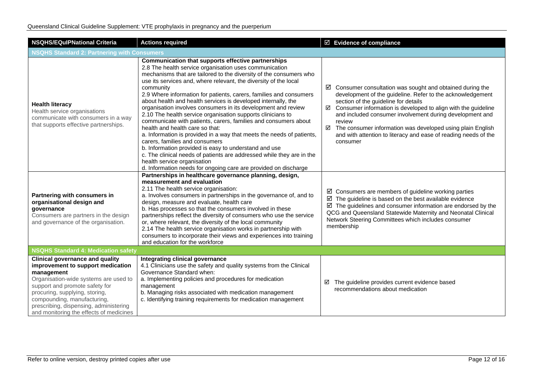| <b>NSQHS/EQulPNational Criteria</b>                                                                                                                                                                                                                                                                                        | <b>Actions required</b>                                                                                                                                                                                                                                                                                                                                                                                                                                                                                                                                                                                                                                                                                                                                                                                                                                                                                                                                                                         | ☑ Evidence of compliance                                                                                                                                                                                                                                                                                                                                                                                                                                                               |  |  |
|----------------------------------------------------------------------------------------------------------------------------------------------------------------------------------------------------------------------------------------------------------------------------------------------------------------------------|-------------------------------------------------------------------------------------------------------------------------------------------------------------------------------------------------------------------------------------------------------------------------------------------------------------------------------------------------------------------------------------------------------------------------------------------------------------------------------------------------------------------------------------------------------------------------------------------------------------------------------------------------------------------------------------------------------------------------------------------------------------------------------------------------------------------------------------------------------------------------------------------------------------------------------------------------------------------------------------------------|----------------------------------------------------------------------------------------------------------------------------------------------------------------------------------------------------------------------------------------------------------------------------------------------------------------------------------------------------------------------------------------------------------------------------------------------------------------------------------------|--|--|
| <b>NSQHS Standard 2: Partnering with Consumers</b>                                                                                                                                                                                                                                                                         |                                                                                                                                                                                                                                                                                                                                                                                                                                                                                                                                                                                                                                                                                                                                                                                                                                                                                                                                                                                                 |                                                                                                                                                                                                                                                                                                                                                                                                                                                                                        |  |  |
| <b>Health literacy</b><br>Health service organisations<br>communicate with consumers in a way<br>that supports effective partnerships.                                                                                                                                                                                     | Communication that supports effective partnerships<br>2.8 The health service organisation uses communication<br>mechanisms that are tailored to the diversity of the consumers who<br>use its services and, where relevant, the diversity of the local<br>community<br>2.9 Where information for patients, carers, families and consumers<br>about health and health services is developed internally, the<br>organisation involves consumers in its development and review<br>2.10 The health service organisation supports clinicians to<br>communicate with patients, carers, families and consumers about<br>health and health care so that:<br>a. Information is provided in a way that meets the needs of patients,<br>carers, families and consumers<br>b. Information provided is easy to understand and use<br>c. The clinical needs of patients are addressed while they are in the<br>health service organisation<br>d. Information needs for ongoing care are provided on discharge | $\boxtimes$ Consumer consultation was sought and obtained during the<br>development of the guideline. Refer to the acknowledgement<br>section of the guideline for details<br>$\boxtimes$ Consumer information is developed to align with the guideline<br>and included consumer involvement during development and<br>review<br>$\boxtimes$ The consumer information was developed using plain English<br>and with attention to literacy and ease of reading needs of the<br>consumer |  |  |
| Partnering with consumers in<br>organisational design and<br>governance<br>Consumers are partners in the design<br>and governance of the organisation.                                                                                                                                                                     | Partnerships in healthcare governance planning, design,<br>measurement and evaluation<br>2.11 The health service organisation:<br>a. Involves consumers in partnerships in the governance of, and to<br>design, measure and evaluate, health care<br>b. Has processes so that the consumers involved in these<br>partnerships reflect the diversity of consumers who use the service<br>or, where relevant, the diversity of the local community<br>2.14 The health service organisation works in partnership with<br>consumers to incorporate their views and experiences into training<br>and education for the workforce                                                                                                                                                                                                                                                                                                                                                                     | $\boxtimes$ Consumers are members of guideline working parties<br>$\boxtimes$ The guideline is based on the best available evidence<br>$\boxtimes$ The guidelines and consumer information are endorsed by the<br>QCG and Queensland Statewide Maternity and Neonatal Clinical<br>Network Steering Committees which includes consumer<br>membership                                                                                                                                    |  |  |
| <b>NSQHS Standard 4: Medication safety</b>                                                                                                                                                                                                                                                                                 |                                                                                                                                                                                                                                                                                                                                                                                                                                                                                                                                                                                                                                                                                                                                                                                                                                                                                                                                                                                                 |                                                                                                                                                                                                                                                                                                                                                                                                                                                                                        |  |  |
| <b>Clinical governance and quality</b><br>improvement to support medication<br>management<br>Organisation-wide systems are used to<br>support and promote safety for<br>procuring, supplying, storing,<br>compounding, manufacturing,<br>prescribing, dispensing, administering<br>and monitoring the effects of medicines | Integrating clinical governance<br>4.1 Clinicians use the safety and quality systems from the Clinical<br>Governance Standard when:<br>a. Implementing policies and procedures for medication<br>management<br>b. Managing risks associated with medication management<br>c. Identifying training requirements for medication management                                                                                                                                                                                                                                                                                                                                                                                                                                                                                                                                                                                                                                                        | The guideline provides current evidence based<br>☑<br>recommendations about medication                                                                                                                                                                                                                                                                                                                                                                                                 |  |  |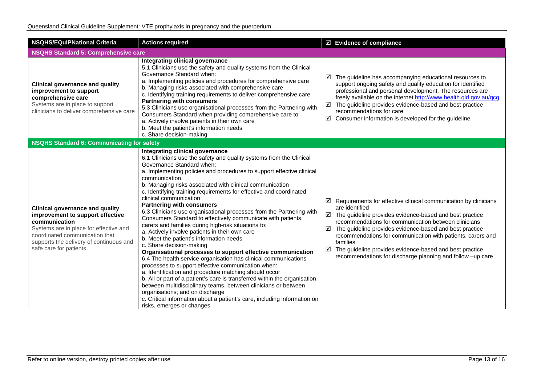| <b>NSQHS/EQuIPNational Criteria</b>                                                                                                                                                                                                           | <b>Actions required</b>                                                                                                                                                                                                                                                                                                                                                                                                                                                                                                                                                                                                                                                                                                                                                                                                                                                                                                                                                                                                                                                                                                                                                                                                                                                                            | $\boxtimes$ Evidence of compliance                                                                                                                                                                                                                                                                                                                                                                                                                                                                    |  |  |
|-----------------------------------------------------------------------------------------------------------------------------------------------------------------------------------------------------------------------------------------------|----------------------------------------------------------------------------------------------------------------------------------------------------------------------------------------------------------------------------------------------------------------------------------------------------------------------------------------------------------------------------------------------------------------------------------------------------------------------------------------------------------------------------------------------------------------------------------------------------------------------------------------------------------------------------------------------------------------------------------------------------------------------------------------------------------------------------------------------------------------------------------------------------------------------------------------------------------------------------------------------------------------------------------------------------------------------------------------------------------------------------------------------------------------------------------------------------------------------------------------------------------------------------------------------------|-------------------------------------------------------------------------------------------------------------------------------------------------------------------------------------------------------------------------------------------------------------------------------------------------------------------------------------------------------------------------------------------------------------------------------------------------------------------------------------------------------|--|--|
| <b>NSQHS Standard 5: Comprehensive care</b>                                                                                                                                                                                                   |                                                                                                                                                                                                                                                                                                                                                                                                                                                                                                                                                                                                                                                                                                                                                                                                                                                                                                                                                                                                                                                                                                                                                                                                                                                                                                    |                                                                                                                                                                                                                                                                                                                                                                                                                                                                                                       |  |  |
| <b>Clinical governance and quality</b><br>improvement to support<br>comprehensive care<br>Systems are in place to support<br>clinicians to deliver comprehensive care                                                                         | Integrating clinical governance<br>5.1 Clinicians use the safety and quality systems from the Clinical<br>Governance Standard when:<br>a. Implementing policies and procedures for comprehensive care<br>b. Managing risks associated with comprehensive care<br>c. Identifying training requirements to deliver comprehensive care<br><b>Partnering with consumers</b><br>5.3 Clinicians use organisational processes from the Partnering with<br>Consumers Standard when providing comprehensive care to:<br>a. Actively involve patients in their own care<br>b. Meet the patient's information needs<br>c. Share decision-making                                                                                                                                                                                                                                                                                                                                                                                                                                                                                                                                                                                                                                                               | $\boxtimes$ The guideline has accompanying educational resources to<br>support ongoing safety and quality education for identified<br>professional and personal development. The resources are<br>freely available on the internet http://www.health.qld.gov.au/qcg<br>$\boxtimes$ The guideline provides evidence-based and best practice<br>recommendations for care<br>☑<br>Consumer information is developed for the guideline                                                                    |  |  |
| <b>NSQHS Standard 6: Communicating for safety</b>                                                                                                                                                                                             |                                                                                                                                                                                                                                                                                                                                                                                                                                                                                                                                                                                                                                                                                                                                                                                                                                                                                                                                                                                                                                                                                                                                                                                                                                                                                                    |                                                                                                                                                                                                                                                                                                                                                                                                                                                                                                       |  |  |
| <b>Clinical governance and quality</b><br>improvement to support effective<br>communication<br>Systems are in place for effective and<br>coordinated communication that<br>supports the delivery of continuous and<br>safe care for patients. | Integrating clinical governance<br>6.1 Clinicians use the safety and quality systems from the Clinical<br>Governance Standard when:<br>a. Implementing policies and procedures to support effective clinical<br>communication<br>b. Managing risks associated with clinical communication<br>c. Identifying training requirements for effective and coordinated<br>clinical communication<br><b>Partnering with consumers</b><br>6.3 Clinicians use organisational processes from the Partnering with<br>Consumers Standard to effectively communicate with patients,<br>carers and families during high-risk situations to:<br>a. Actively involve patients in their own care<br>b. Meet the patient's information needs<br>c. Share decision-making<br>Organisational processes to support effective communication<br>6.4 The health service organisation has clinical communications<br>processes to support effective communication when:<br>a. Identification and procedure matching should occur<br>b. All or part of a patient's care is transferred within the organisation,<br>between multidisciplinary teams, between clinicians or between<br>organisations; and on discharge<br>c. Critical information about a patient's care, including information on<br>risks, emerges or changes | $\boxtimes$ Requirements for effective clinical communication by clinicians<br>are identified<br>$\boxtimes$ The guideline provides evidence-based and best practice<br>recommendations for communication between clinicians<br>☑<br>The guideline provides evidence-based and best practice<br>recommendations for communication with patients, carers and<br>families<br>The guideline provides evidence-based and best practice<br>☑<br>recommendations for discharge planning and follow -up care |  |  |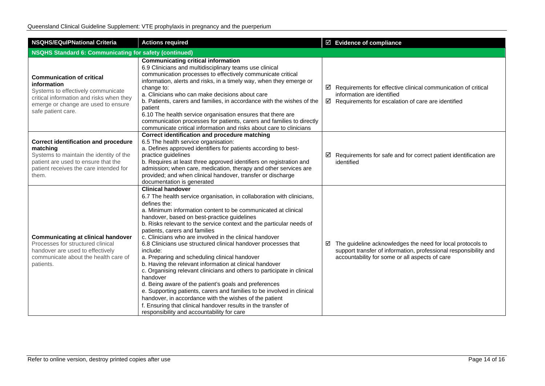| <b>NSQHS/EQuIPNational Criteria</b>                                                                                                                                                            | <b>Actions required</b>                                                                                                                                                                                                                                                                                                                                                                                                                                                                                                                                                                                                                                                                                                                                                                                                                                                                                                                                                                             | $\boxdot$ Evidence of compliance                                                                                                                                                             |  |  |  |
|------------------------------------------------------------------------------------------------------------------------------------------------------------------------------------------------|-----------------------------------------------------------------------------------------------------------------------------------------------------------------------------------------------------------------------------------------------------------------------------------------------------------------------------------------------------------------------------------------------------------------------------------------------------------------------------------------------------------------------------------------------------------------------------------------------------------------------------------------------------------------------------------------------------------------------------------------------------------------------------------------------------------------------------------------------------------------------------------------------------------------------------------------------------------------------------------------------------|----------------------------------------------------------------------------------------------------------------------------------------------------------------------------------------------|--|--|--|
| <b>NSQHS Standard 6: Communicating for safety (continued)</b>                                                                                                                                  |                                                                                                                                                                                                                                                                                                                                                                                                                                                                                                                                                                                                                                                                                                                                                                                                                                                                                                                                                                                                     |                                                                                                                                                                                              |  |  |  |
| <b>Communication of critical</b><br>information<br>Systems to effectively communicate<br>critical information and risks when they<br>emerge or change are used to ensure<br>safe patient care. | <b>Communicating critical information</b><br>6.9 Clinicians and multidisciplinary teams use clinical<br>communication processes to effectively communicate critical<br>information, alerts and risks, in a timely way, when they emerge or<br>change to:<br>a. Clinicians who can make decisions about care<br>b. Patients, carers and families, in accordance with the wishes of the<br>patient<br>6.10 The health service organisation ensures that there are<br>communication processes for patients, carers and families to directly<br>communicate critical information and risks about care to clinicians                                                                                                                                                                                                                                                                                                                                                                                     | $\boxtimes$ Requirements for effective clinical communication of critical<br>information are identified<br>$\boxtimes$ Requirements for escalation of care are identified                    |  |  |  |
| <b>Correct identification and procedure</b><br>matching<br>Systems to maintain the identity of the<br>patient are used to ensure that the<br>patient receives the care intended for<br>them.   | Correct identification and procedure matching<br>6.5 The health service organisation:<br>a. Defines approved identifiers for patients according to best-<br>practice guidelines<br>b. Requires at least three approved identifiers on registration and<br>admission; when care, medication, therapy and other services are<br>provided; and when clinical handover, transfer or discharge<br>documentation is generated                                                                                                                                                                                                                                                                                                                                                                                                                                                                                                                                                                             | $\boxtimes$ Requirements for safe and for correct patient identification are<br>identified                                                                                                   |  |  |  |
| <b>Communicating at clinical handover</b><br>Processes for structured clinical<br>handover are used to effectively<br>communicate about the health care of<br>patients.                        | <b>Clinical handover</b><br>6.7 The health service organisation, in collaboration with clinicians,<br>defines the:<br>a. Minimum information content to be communicated at clinical<br>handover, based on best-practice guidelines<br>b. Risks relevant to the service context and the particular needs of<br>patients, carers and families<br>c. Clinicians who are involved in the clinical handover<br>6.8 Clinicians use structured clinical handover processes that<br>include:<br>a. Preparing and scheduling clinical handover<br>b. Having the relevant information at clinical handover<br>c. Organising relevant clinicians and others to participate in clinical<br>handover<br>d. Being aware of the patient's goals and preferences<br>e. Supporting patients, carers and families to be involved in clinical<br>handover, in accordance with the wishes of the patient<br>f. Ensuring that clinical handover results in the transfer of<br>responsibility and accountability for care | $\boxtimes$ The guideline acknowledges the need for local protocols to<br>support transfer of information, professional responsibility and<br>accountability for some or all aspects of care |  |  |  |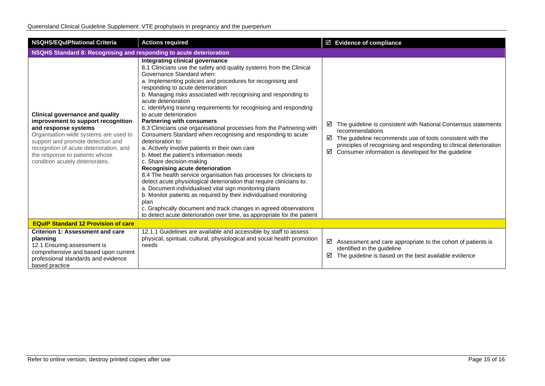| <b>NSQHS/EQulPNational Criteria</b>                                                                                                                                                                                                                                                                | <b>Actions required</b>                                                                                                                                                                                                                                                                                                                                                                                                                                                                                                                                                                                                                                                                                                                                                                                                                                                                                                                                                                                                                                                                                                                                                                                                              | $\boxtimes$ Evidence of compliance                                                                                                                                                                                                                                                         |  |  |
|----------------------------------------------------------------------------------------------------------------------------------------------------------------------------------------------------------------------------------------------------------------------------------------------------|--------------------------------------------------------------------------------------------------------------------------------------------------------------------------------------------------------------------------------------------------------------------------------------------------------------------------------------------------------------------------------------------------------------------------------------------------------------------------------------------------------------------------------------------------------------------------------------------------------------------------------------------------------------------------------------------------------------------------------------------------------------------------------------------------------------------------------------------------------------------------------------------------------------------------------------------------------------------------------------------------------------------------------------------------------------------------------------------------------------------------------------------------------------------------------------------------------------------------------------|--------------------------------------------------------------------------------------------------------------------------------------------------------------------------------------------------------------------------------------------------------------------------------------------|--|--|
| NSQHS Standard 8: Recognising and responding to acute deterioration                                                                                                                                                                                                                                |                                                                                                                                                                                                                                                                                                                                                                                                                                                                                                                                                                                                                                                                                                                                                                                                                                                                                                                                                                                                                                                                                                                                                                                                                                      |                                                                                                                                                                                                                                                                                            |  |  |
| <b>Clinical governance and quality</b><br>improvement to support recognition<br>and response systems<br>Organisation-wide systems are used to<br>support and promote detection and<br>recognition of acute deterioration, and<br>the response to patients whose<br>condition acutely deteriorates. | Integrating clinical governance<br>8.1 Clinicians use the safety and quality systems from the Clinical<br>Governance Standard when:<br>a. Implementing policies and procedures for recognising and<br>responding to acute deterioration<br>b. Managing risks associated with recognising and responding to<br>acute deterioration<br>c. Identifying training requirements for recognising and responding<br>to acute deterioration<br><b>Partnering with consumers</b><br>8.3 Clinicians use organisational processes from the Partnering with<br>Consumers Standard when recognising and responding to acute<br>deterioration to:<br>a. Actively involve patients in their own care<br>b. Meet the patient's information needs<br>c. Share decision-making<br>Recognising acute deterioration<br>8.4 The health service organisation has processes for clinicians to<br>detect acute physiological deterioration that require clinicians to:<br>a. Document individualised vital sign monitoring plans<br>b. Monitor patients as required by their individualised monitoring<br>plan<br>c. Graphically document and track changes in agreed observations<br>to detect acute deterioration over time, as appropriate for the patient | The guideline is consistent with National Consensus statements<br>⊻<br>recommendations<br>The guideline recommends use of tools consistent with the<br>☑<br>principles of recognising and responding to clinical deterioration<br>Consumer information is developed for the guideline<br>☑ |  |  |
| <b>EQuIP Standard 12 Provision of care</b>                                                                                                                                                                                                                                                         |                                                                                                                                                                                                                                                                                                                                                                                                                                                                                                                                                                                                                                                                                                                                                                                                                                                                                                                                                                                                                                                                                                                                                                                                                                      |                                                                                                                                                                                                                                                                                            |  |  |
| <b>Criterion 1: Assessment and care</b><br>planning<br>12.1 Ensuring assessment is<br>comprehensive and based upon current<br>professional standards and evidence<br>based practice                                                                                                                | 12.1.1 Guidelines are available and accessible by staff to assess<br>physical, spiritual, cultural, physiological and social health promotion<br>needs                                                                                                                                                                                                                                                                                                                                                                                                                                                                                                                                                                                                                                                                                                                                                                                                                                                                                                                                                                                                                                                                               | ☑<br>Assessment and care appropriate to the cohort of patients is<br>identified in the guideline<br>The guideline is based on the best available evidence<br>☑                                                                                                                             |  |  |